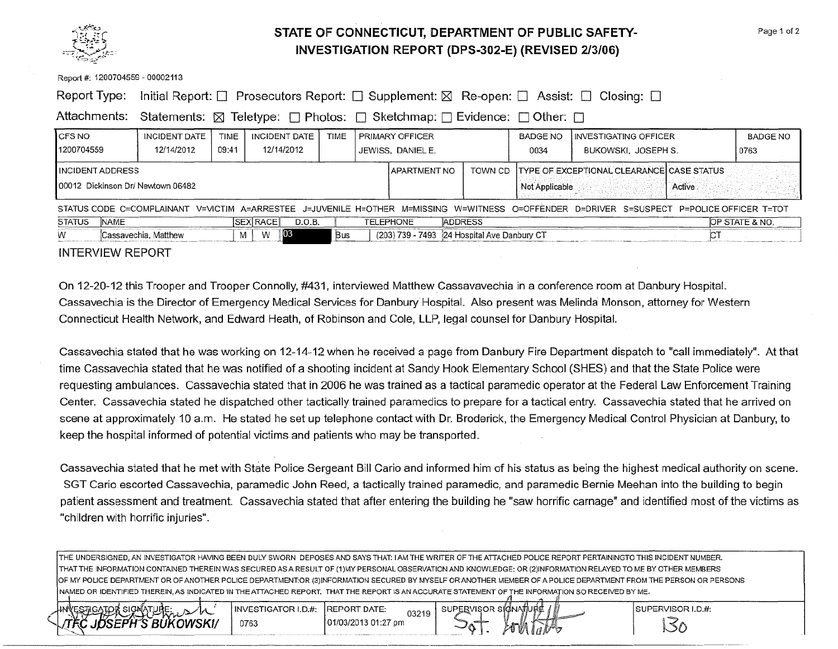

## **STATE OF CONNECTICUT, DEPARTMENT OF PUBLIC SAFETY-INVESTIGATION REPORT (DPS-302-E) (REVISED 2/3/06)**

### Report #: 1200704559 - 00002113

|  |  | Report Type: Initial Report: □ Prosecutors Report: □ Supplement: ⊠ Re-open: □ Assist: □ Closing: □ |  |  |  |  |
|--|--|----------------------------------------------------------------------------------------------------|--|--|--|--|
|--|--|----------------------------------------------------------------------------------------------------|--|--|--|--|

Attachments: Statements:  $\boxtimes$  Teletype:  $\Box$  Photos:  $\Box$  Sketchmap:  $\Box$  Evidence:  $\Box$  Other:  $\Box$ 

| I CFS NO                                                                                                                                  | INCIDENT DATE        | TIME  |                 | INCIDENT DATE | TIME |                | <b>PRIMARY OFFICER</b> |                                             | BADGE NO                                                                      | I INVESTIGATING OFFICER |  | <b>BADGE NO</b> |
|-------------------------------------------------------------------------------------------------------------------------------------------|----------------------|-------|-----------------|---------------|------|----------------|------------------------|---------------------------------------------|-------------------------------------------------------------------------------|-------------------------|--|-----------------|
| 1200704559                                                                                                                                | 12/14/2012           | 09:41 |                 | 12/14/2012    |      |                | JEWISS, DANIEL E.      |                                             | 0034                                                                          | BUKOWSKI, JOSEPH S.     |  | 0763            |
| INCIDENT ADDRESS<br>00012 Dickinson Dr/ Newtown 06482                                                                                     |                      |       |                 |               |      | I APARTMENT NO |                        |                                             | TOWN CD TYPE OF EXCEPTIONAL CLEARANCE CASE STATUS<br>Not Applicable<br>Active |                         |  |                 |
| STATUS CODE C=COMPLAINANT V=VICTIM A=ARRESTEE J=JUVENILE H=OTHER M=MISSING W=WITNESS O=OFFENDER D=DRIVER S=SUSPECT P=POLICE OFFICER T=TOT |                      |       |                 |               |      |                |                        |                                             |                                                                               |                         |  |                 |
| <b>STATUS</b><br><b>NAME</b>                                                                                                              |                      |       | <b>SEX RACE</b> | D.O.B.        |      |                | TELEPHONE              | <b>ADDRESS</b>                              |                                                                               |                         |  | OP STATE & NO.  |
|                                                                                                                                           | Cassavechia, Matthew |       | W               | 03            | Bus  |                |                        | (203) 739 - 7493 24 Hospital Ave Danbury CT |                                                                               |                         |  |                 |

### INTERVIEW REPORT

On 12-20-12 this Trooper and Trooper Connolly, #431 , interviewed Matthew Cassavavechia in a conference room at Danbury HospitaL Cassavechia is the Director of Emergency Medical Services for Danbury Hospital. Also present was Melinda Monson, attorney for Western Connecticut Health Network, and Edward Heath, of Robinson and Cole, **LLP,** legal counsel for Danbury HospitaL

Cassavechia stated that he was working on 12-14-12 when he received a page from Danbury Fire Department dispatch to "call immediately". At that time Cassavechia stated that he was notified of a shooting incident at Sandy Hook Elementary School (SHES) and that the State Police were requesting ambulances. Cassavechia stated that in 2006 he was trained as a tactical paramedic operator at the Federal Law Enforcement Training Center. Cassavechia stated he dispatched other tactically trained paramedics to prepare for a tactical entry. Cassavechia stated that he arrived on scene at approximately 10 a.m. He stated he set up telephone contact with Dr. Broderick, the Emergency Medical Control Physician at Danbury, to keep the hospital informed of potential victims and patients who may be transported.

Cassavechia stated that he met with State Police Sergeant Bill Cario and informed him of his status as being the highest medical authority on scene. SGT Cario escorted Cassavechia, paramedic John Reed, a tactically trained paramedic, and paramedic Bernie Meehan into the building to begin patient assessment and treatment. Cassavechia stated that after entering the building he "saw horrific carnage" and identified most of the victims as "children with horrific injuries".

THE UNDERSIGNED, AN INVESTIGATOR HAVING BEEN DULY SWORN DEPOSES AND SAYS THAT: I AM THE WRITER OF THE ATTACHED POLICE REPORT PERTAININGTO THIS INCIDENT NUMBER. THAT THE INFORMATION CONTAINED THEREIN WAS SECURED AS A RESULT OF (1)MY PERSONAL OBSERVATION AND KNOWLEDGE: OR (2)1NFORMATION RELAYED TO ME BY OTHER MEMBERS OF MY POLICE DEPARTMENT OR OF ANOTHER POLICE DEPARTMENT:OR (3)INFORMATION SECURED BY MYSELF OR ANOTHER MEMBER OF A POLICE DEPARTMENT FROM THE PERSON OR PERSONS NAMED OR IDENTIFIED THEREIN, AS INDICATED IN THE ATTACHED REPORT. THAT THE REPORT IS AN ACCURATE STATEMENT OF THE INFORMATION SO RECEIVED BY ME.



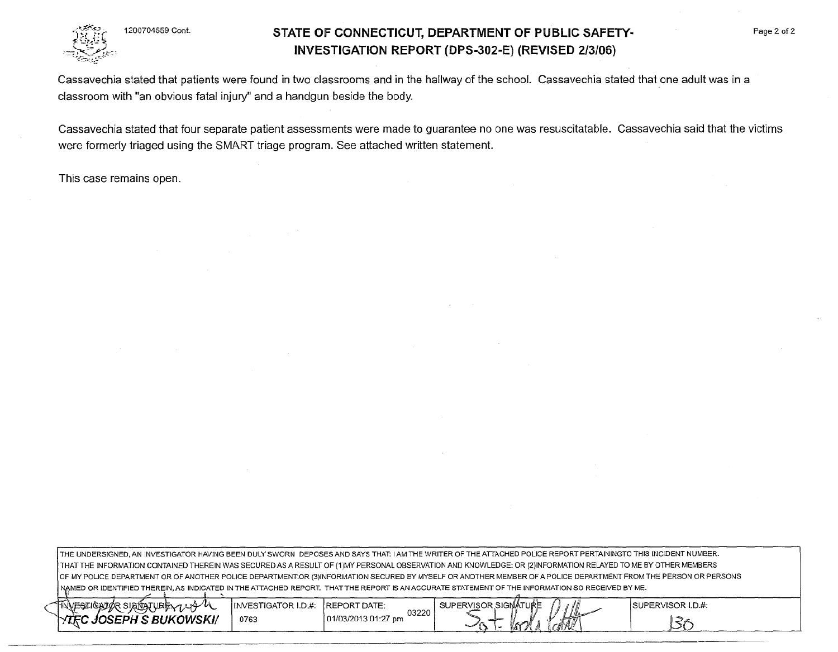1200704559 Cont.

## **STATE OF CONNECTICUT, DEPARTMENT OF PUBLIC SAFETY-INVESTIGATION REPORT (DPS-302-E) (REVISED 2/3/06)**

Cassavechia stated that patients were found in two classrooms and in the hallway of the school. Cassavechia stated that one adult was in a classroom with "an obvious fatal injury" and a handgun beside the body.

Cassavechia stated that four separate patient assessments were made to guarantee no one was resuscitatable. Cassavechia said that the victims were formerly triaged using the SMART triage program. See attached written statement.

This case remains open.

THE UNDERSIGNED, AN INVESTIGATOR HAVING BEEN DULY SWORN DEPOSES AND SAYS THAT: I AM THE WRITER OF THE ATTACHED POLICE REPORT PERTAININGTO THIS INCIDENT NUMBER. THAT THE INFORMATION CONTAINED THEREIN WAS SECURED AS A RESULT OF (1)MY PERSONAL OBSERVATION AND KNOWLEDGE: OR (2)1NFORMATION RELAYED TO ME BY OTHER MEMBERS OF MY POLICE DEPARTMENT OR OF ANOTHER POLICE DEPARTMENT:OR (3)INFORMATION SECURED BY MYSELF OR ANOTHER MEMBER OF A POLICE DEPARTMENT FROM THE PERSON OR PERSONS NAMED OR IDENTIFIED THEREIN, AS INDICATED IN THE ATTACHED REPORT. THAT THE REPORT IS AN ACCURATE STATEMENT OF THE INFORMATION SO RECEIVED BY ME.

| SIGNATURE 144 W<br><b>TINVESZIGATOR</b> | INVESTIGATOR I.D.#: | <b>REPORT DATE:</b>          | ERVISOR SIGNATURE<br><b>SUPF</b>         | - 8 N.I<br>UME | ISUPERVISOR I.D.#: |
|-----------------------------------------|---------------------|------------------------------|------------------------------------------|----------------|--------------------|
| ; BUKOWSKI/<br>IOSEPH.<br>ater.         | 0763                | 03220<br>01/03/2013 01:27 pm | <b>Constitution</b><br>ستحريم اه<br>مريد | 38 I           |                    |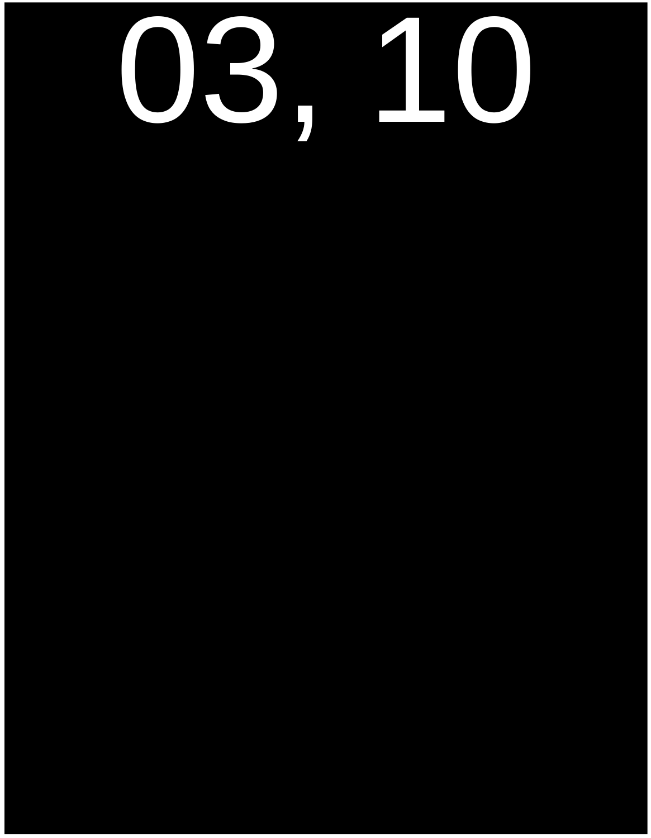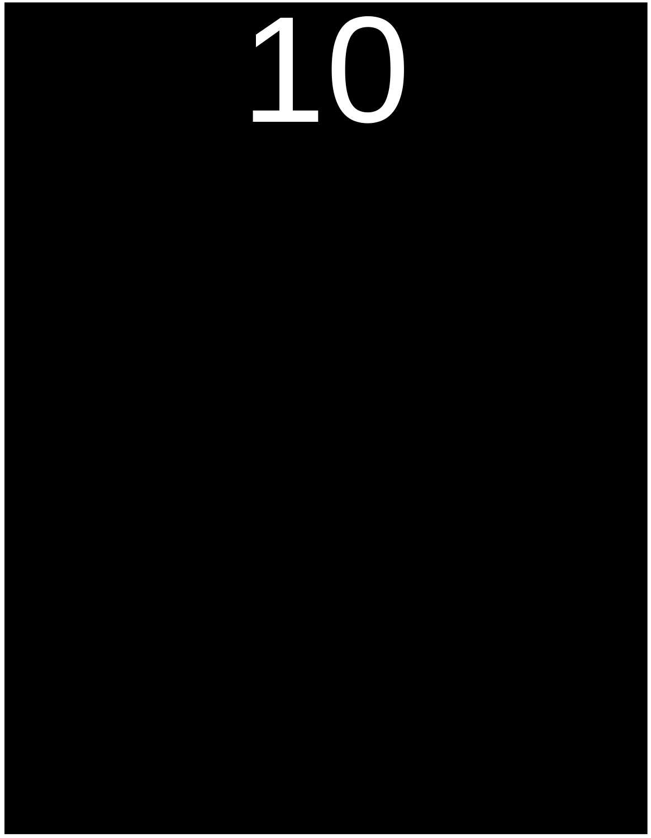#